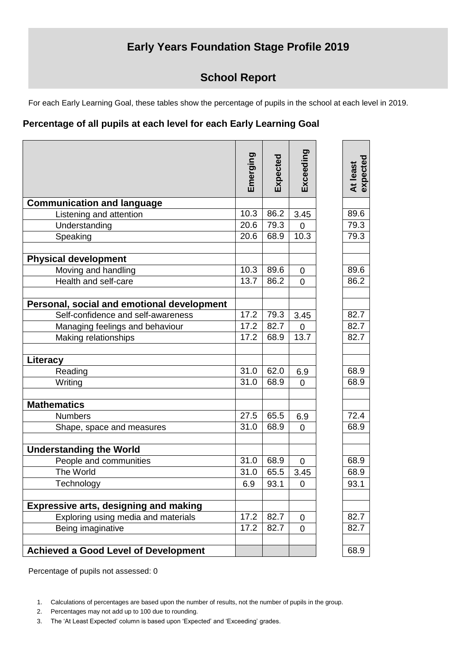## **Early Years Foundation Stage Profile 2019**

## **School Report**

For each Early Learning Goal, these tables show the percentage of pupils in the school at each level in 2019.

## **Percentage of all pupils at each level for each Early Learning Goal**

|                                              | Emerging | Expected | Exceeding      | At least<br>expected |
|----------------------------------------------|----------|----------|----------------|----------------------|
| <b>Communication and language</b>            |          |          |                |                      |
| Listening and attention                      | 10.3     | 86.2     | 3.45           | 89.6                 |
| Understanding                                | 20.6     | 79.3     | 0              | 79.3                 |
| Speaking                                     | 20.6     | 68.9     | 10.3           | 79.3                 |
| <b>Physical development</b>                  |          |          |                |                      |
| Moving and handling                          | 10.3     | 89.6     | 0              | 89.6                 |
| Health and self-care                         | 13.7     | 86.2     | $\overline{0}$ | 86.2                 |
| Personal, social and emotional development   |          |          |                |                      |
| Self-confidence and self-awareness           | 17.2     | 79.3     | 3.45           | 82.7                 |
| Managing feelings and behaviour              | 17.2     | 82.7     | 0              | 82.7                 |
| Making relationships                         | 17.2     | 68.9     | 13.7           | 82.7                 |
| Literacy                                     |          |          |                |                      |
| Reading                                      | 31.0     | 62.0     | 6.9            | 68.9                 |
| Writing                                      | 31.0     | 68.9     | 0              | 68.9                 |
| <b>Mathematics</b>                           |          |          |                |                      |
| <b>Numbers</b>                               | 27.5     | 65.5     | 6.9            | 72.4                 |
| Shape, space and measures                    | 31.0     | 68.9     | $\overline{0}$ | 68.9                 |
| <b>Understanding the World</b>               |          |          |                |                      |
| People and communities                       | 31.0     | 68.9     | $\mathbf 0$    | 68.9                 |
| The World                                    | 31.0     | 65.5     | 3.45           | 68.9                 |
| Technology                                   | 6.9      | 93.1     | 0              | 93.1                 |
| <b>Expressive arts, designing and making</b> |          |          |                |                      |
| Exploring using media and materials          | 17.2     | 82.7     | $\overline{0}$ | 82.7                 |
| Being imaginative                            | 17.2     | 82.7     | $\overline{0}$ | 82.7                 |
| <b>Achieved a Good Level of Development</b>  |          |          |                | 68.9                 |
|                                              |          |          |                |                      |

Percentage of pupils not assessed: 0

- 2. Percentages may not add up to 100 due to rounding.
- 3. The 'At Least Expected' column is based upon 'Expected' and 'Exceeding' grades.

<sup>1.</sup> Calculations of percentages are based upon the number of results, not the number of pupils in the group.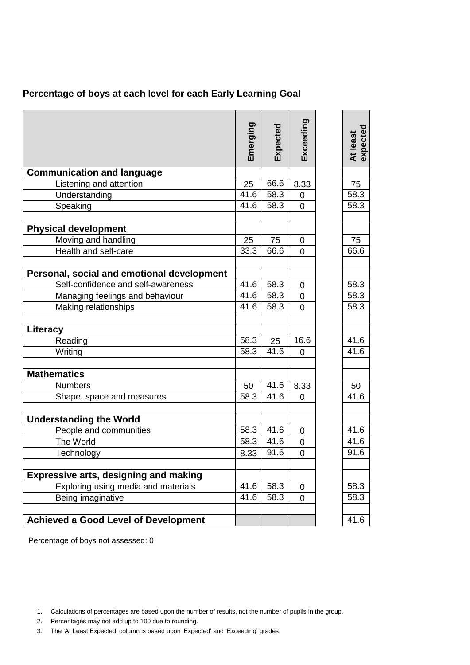| Percentage of boys at each level for each Early Learning Goal |
|---------------------------------------------------------------|
|---------------------------------------------------------------|

|                                              | Emerging | Expected | Exceeding      | expected<br>At least |
|----------------------------------------------|----------|----------|----------------|----------------------|
| <b>Communication and language</b>            |          |          |                |                      |
| Listening and attention                      | 25       | 66.6     | 8.33           | 75                   |
| Understanding                                | 41.6     | 58.3     | 0              | 58.3                 |
| Speaking                                     | 41.6     | 58.3     | 0              | 58.3                 |
| <b>Physical development</b>                  |          |          |                |                      |
| Moving and handling                          | 25       | 75       | 0              | 75                   |
| Health and self-care                         | 33.3     | 66.6     | 0              | 66.6                 |
|                                              |          |          |                |                      |
| Personal, social and emotional development   |          |          |                |                      |
| Self-confidence and self-awareness           | 41.6     | 58.3     | 0              | 58.3                 |
| Managing feelings and behaviour              | 41.6     | 58.3     | 0              | 58.3                 |
| Making relationships                         | 41.6     | 58.3     | 0              | 58.3                 |
|                                              |          |          |                |                      |
| Literacy                                     |          |          |                |                      |
| Reading                                      | 58.3     | 25       | 16.6           | 41.6                 |
| Writing                                      | 58.3     | 41.6     | 0              | 41.6                 |
|                                              |          |          |                |                      |
| <b>Mathematics</b>                           |          |          |                |                      |
| <b>Numbers</b>                               | 50       | 41.6     | 8.33           | 50                   |
| Shape, space and measures                    | 58.3     | 41.6     | 0              | 41.6                 |
|                                              |          |          |                |                      |
| <b>Understanding the World</b>               |          |          |                |                      |
| People and communities                       | 58.3     | 41.6     | $\mathbf 0$    | 41.6                 |
| The World                                    | 58.3     | 41.6     | 0              | 41.6                 |
| Technology                                   | 8.33     | 91.6     | 0              | 91.6                 |
|                                              |          |          |                |                      |
| <b>Expressive arts, designing and making</b> |          |          |                |                      |
| Exploring using media and materials          | 41.6     | 58.3     | $\overline{0}$ | 58.3                 |
| Being imaginative                            | 41.6     | 58.3     | 0              | 58.3                 |
|                                              |          |          |                |                      |
| <b>Achieved a Good Level of Development</b>  |          |          |                | 41.6                 |

Percentage of boys not assessed: 0

- 2. Percentages may not add up to 100 due to rounding.
- 3. The 'At Least Expected' column is based upon 'Expected' and 'Exceeding' grades.

<sup>1.</sup> Calculations of percentages are based upon the number of results, not the number of pupils in the group.